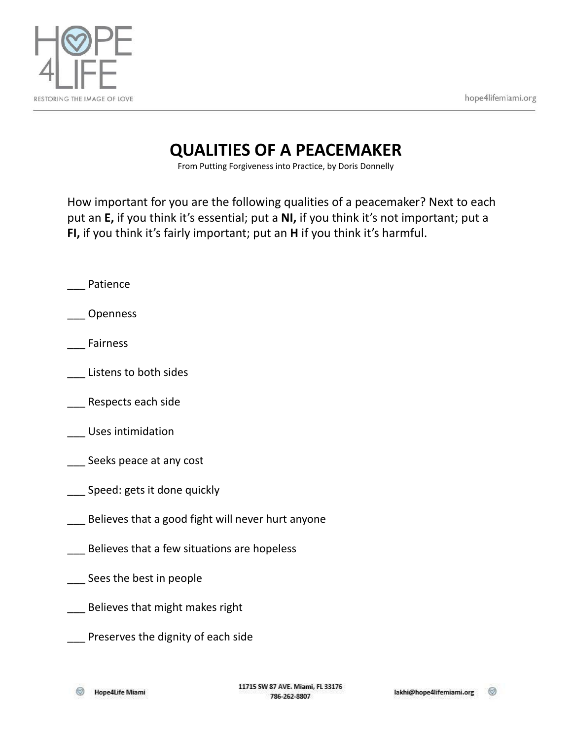



## **QUALITIES OF A PEACEMAKER**

From Putting Forgiveness into Practice, by Doris Donnelly

How important for you are the following qualities of a peacemaker? Next to each put an **E,** if you think it's essential; put a **NI,** if you think it's not important; put a **FI,** if you think it's fairly important; put an **H** if you think it's harmful.

- \_\_\_ Patience
- \_\_\_ Openness
- \_\_\_ Fairness
- \_\_\_ Listens to both sides
- \_\_\_ Respects each side
- \_\_\_ Uses intimidation
- \_\_\_ Seeks peace at any cost
- \_\_\_ Speed: gets it done quickly
- \_\_\_ Believes that a good fight will never hurt anyone
- \_\_\_ Believes that a few situations are hopeless
- \_\_\_ Sees the best in people
- \_\_\_ Believes that might makes right
- \_\_\_ Preserves the dignity of each side

∞ Hope4Life Miami